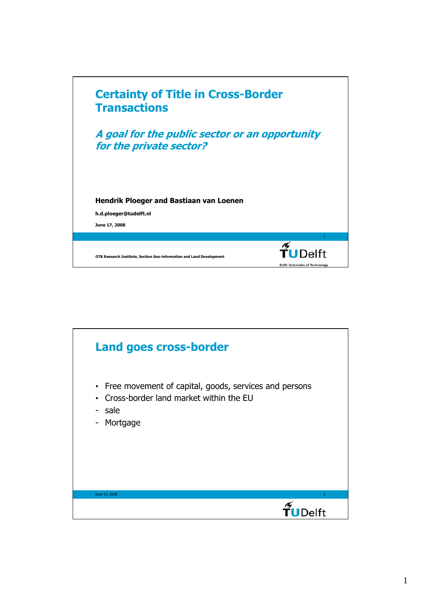

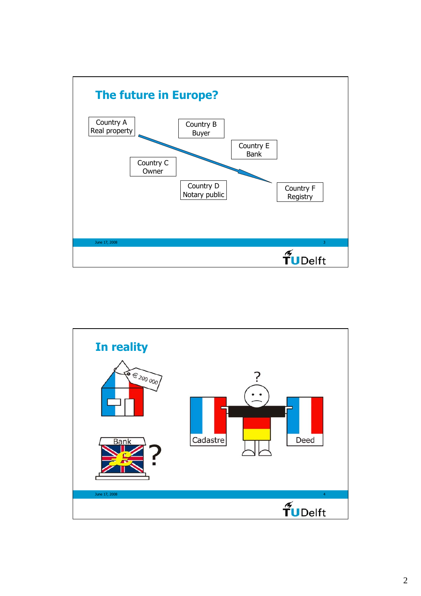

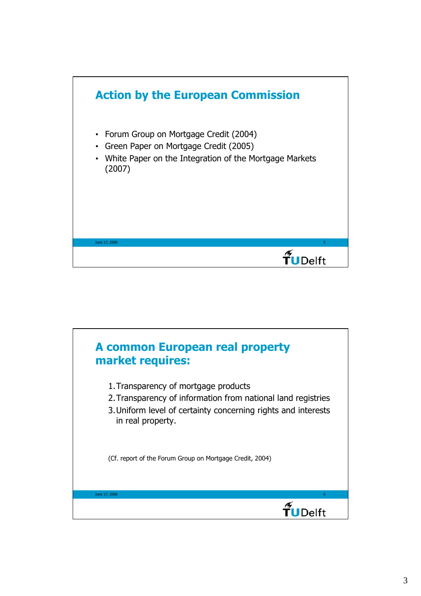

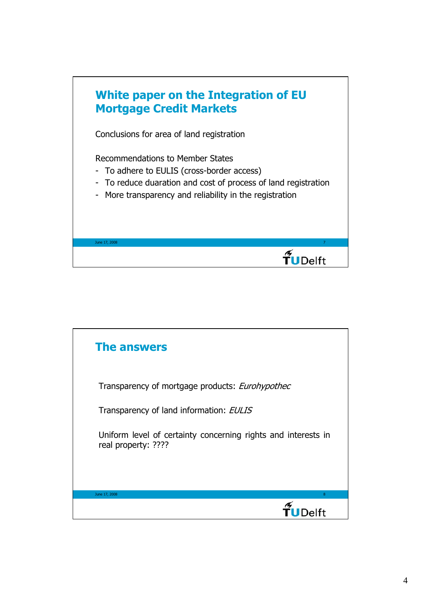

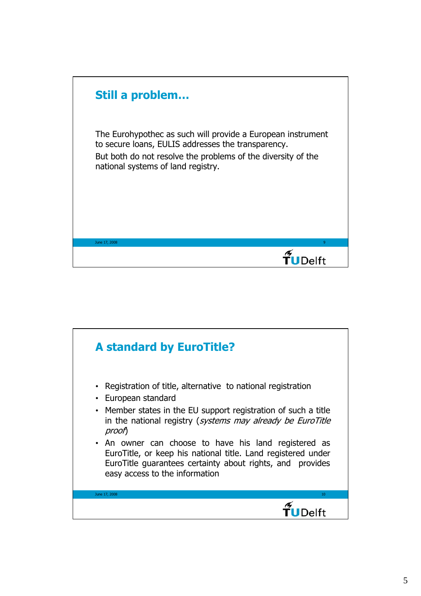

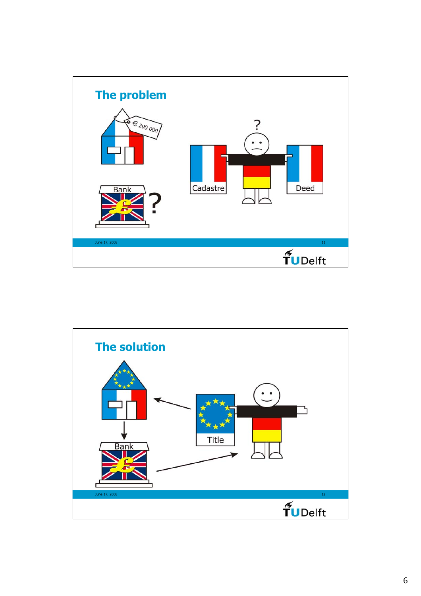

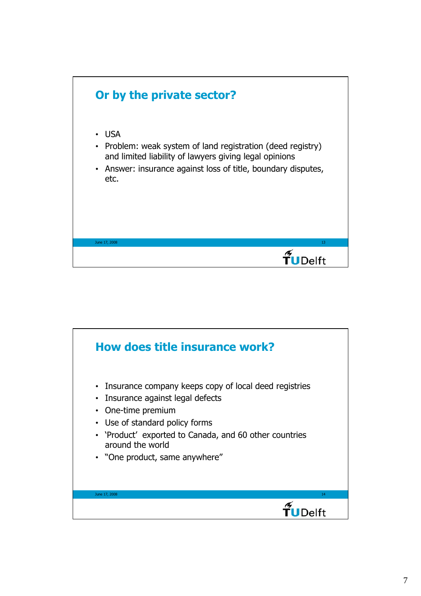

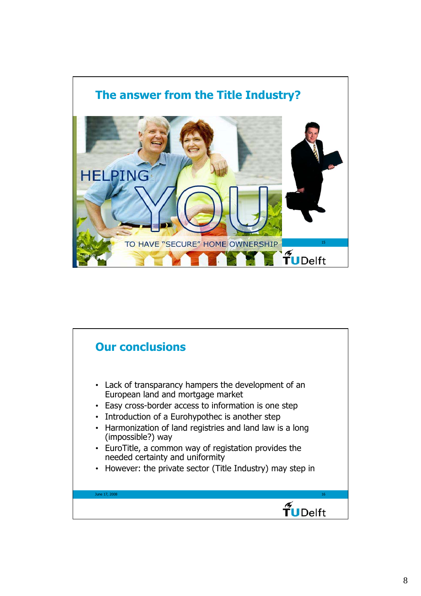